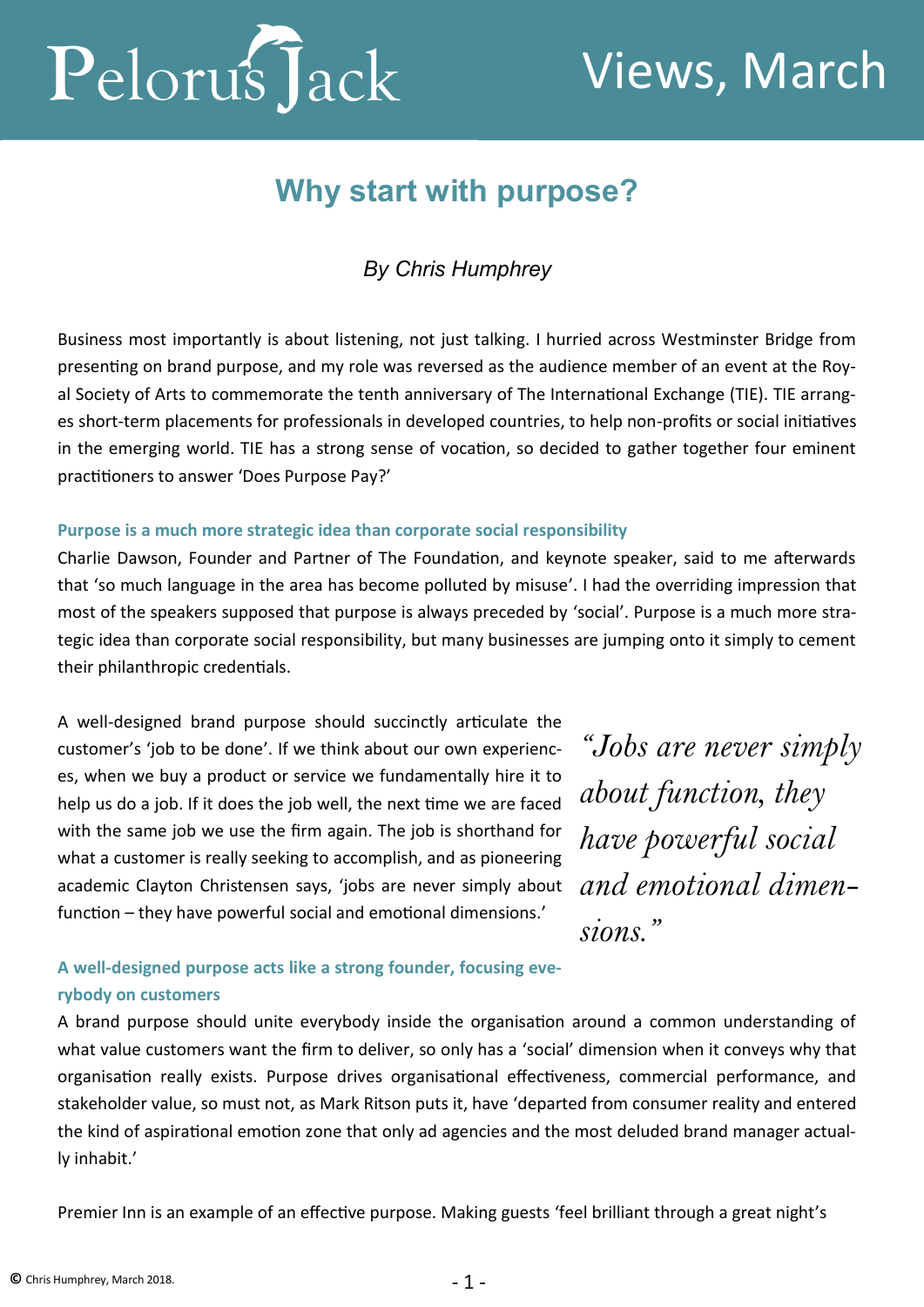

# Views, March

## **Why start with purpose?**

### *By Chris Humphrey*

Business most importantly is about listening, not just talking. I hurried across Westminster Bridge from presenting on brand purpose, and my role was reversed as the audience member of an event at the Royal Society of Arts to commemorate the tenth anniversary of The International Exchange (TIE). TIE arranges short-term placements for professionals in developed countries, to help non-profits or social initiatives in the emerging world. TIE has a strong sense of vocation, so decided to gather together four eminent practitioners to answer 'Does Purpose Pay?'

#### **Purpose is a much more strategic idea than corporate social responsibility**

Charlie Dawson, Founder and Partner of The Foundation, and keynote speaker, said to me afterwards that 'so much language in the area has become polluted by misuse'. I had the overriding impression that most of the speakers supposed that purpose is always preceded by 'social'. Purpose is a much more strategic idea than corporate social responsibility, but many businesses are jumping onto it simply to cement their philanthropic credentials.

A well-designed brand purpose should succinctly articulate the customer's 'job to be done'. If we think about our own experiences, when we buy a product or service we fundamentally hire it to help us do a job. If it does the job well, the next time we are faced with the same job we use the firm again. The job is shorthand for what a customer is really seeking to accomplish, and as pioneering academic Clayton Christensen says, 'jobs are never simply about function – they have powerful social and emotional dimensions.'

*"Jobs are never simply about function, they have powerful social and emotional dimensions."* 

#### **A well-designed purpose acts like a strong founder, focusing everybody on customers**

A brand purpose should unite everybody inside the organisation around a common understanding of what value customers want the firm to deliver, so only has a 'social' dimension when it conveys why that organisation really exists. Purpose drives organisational effectiveness, commercial performance, and stakeholder value, so must not, as Mark Ritson puts it, have 'departed from consumer reality and entered the kind of aspirational emotion zone that only ad agencies and the most deluded brand manager actually inhabit.'

Premier Inn is an example of an effective purpose. Making guests 'feel brilliant through a great night's